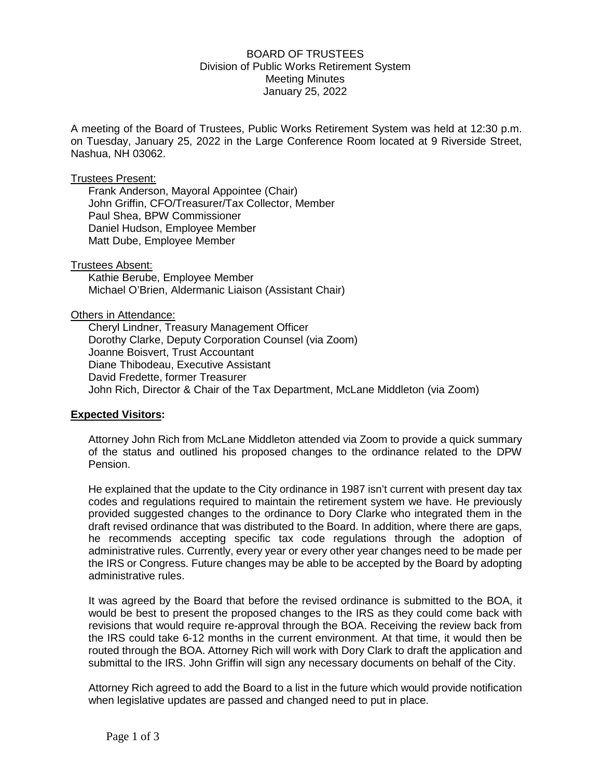## BOARD OF TRUSTEES Division of Public Works Retirement System Meeting Minutes January 25, 2022

A meeting of the Board of Trustees, Public Works Retirement System was held at 12:30 p.m. on Tuesday, January 25, 2022 in the Large Conference Room located at 9 Riverside Street, Nashua, NH 03062.

### Trustees Present:

Frank Anderson, Mayoral Appointee (Chair) John Griffin, CFO/Treasurer/Tax Collector, Member Paul Shea, BPW Commissioner Daniel Hudson, Employee Member Matt Dube, Employee Member

Trustees Absent: Kathie Berube, Employee Member Michael O'Brien, Aldermanic Liaison (Assistant Chair)

#### Others in Attendance:

Cheryl Lindner, Treasury Management Officer Dorothy Clarke, Deputy Corporation Counsel (via Zoom) Joanne Boisvert, Trust Accountant Diane Thibodeau, Executive Assistant David Fredette, former Treasurer John Rich, Director & Chair of the Tax Department, McLane Middleton (via Zoom)

### **Expected Visitors:**

Attorney John Rich from McLane Middleton attended via Zoom to provide a quick summary of the status and outlined his proposed changes to the ordinance related to the DPW Pension.

He explained that the update to the City ordinance in 1987 isn't current with present day tax codes and regulations required to maintain the retirement system we have. He previously provided suggested changes to the ordinance to Dory Clarke who integrated them in the draft revised ordinance that was distributed to the Board. In addition, where there are gaps, he recommends accepting specific tax code regulations through the adoption of administrative rules. Currently, every year or every other year changes need to be made per the IRS or Congress. Future changes may be able to be accepted by the Board by adopting administrative rules.

It was agreed by the Board that before the revised ordinance is submitted to the BOA, it would be best to present the proposed changes to the IRS as they could come back with revisions that would require re-approval through the BOA. Receiving the review back from the IRS could take 6-12 months in the current environment. At that time, it would then be routed through the BOA. Attorney Rich will work with Dory Clark to draft the application and submittal to the IRS. John Griffin will sign any necessary documents on behalf of the City.

Attorney Rich agreed to add the Board to a list in the future which would provide notification when legislative updates are passed and changed need to put in place.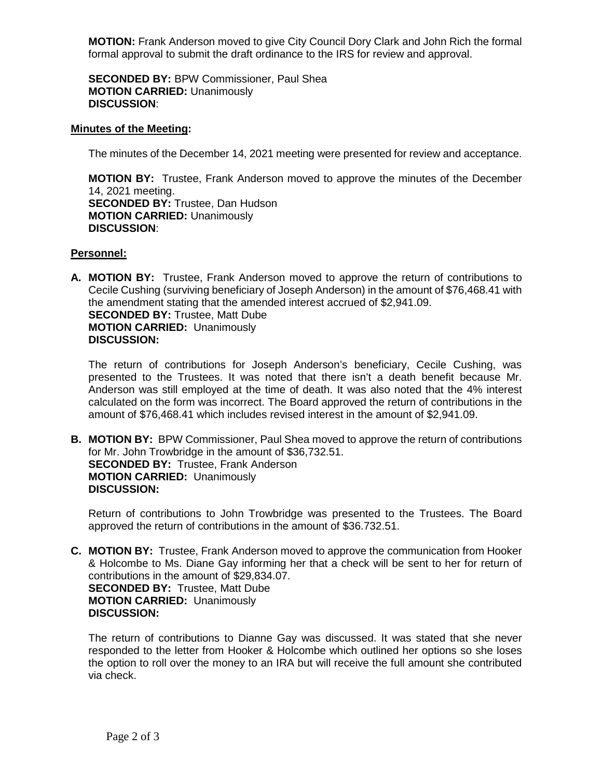**MOTION:** Frank Anderson moved to give City Council Dory Clark and John Rich the formal formal approval to submit the draft ordinance to the IRS for review and approval.

**SECONDED BY:** BPW Commissioner, Paul Shea **MOTION CARRIED:** Unanimously **DISCUSSION**:

## **Minutes of the Meeting:**

The minutes of the December 14, 2021 meeting were presented for review and acceptance.

**MOTION BY:** Trustee, Frank Anderson moved to approve the minutes of the December 14, 2021 meeting. **SECONDED BY:** Trustee, Dan Hudson **MOTION CARRIED:** Unanimously **DISCUSSION**:

## **Personnel:**

**A. MOTION BY:** Trustee, Frank Anderson moved to approve the return of contributions to Cecile Cushing (surviving beneficiary of Joseph Anderson) in the amount of \$76,468.41 with the amendment stating that the amended interest accrued of \$2,941.09. **SECONDED BY:** Trustee, Matt Dube **MOTION CARRIED:** Unanimously **DISCUSSION:**

The return of contributions for Joseph Anderson's beneficiary, Cecile Cushing, was presented to the Trustees. It was noted that there isn't a death benefit because Mr. Anderson was still employed at the time of death. It was also noted that the 4% interest calculated on the form was incorrect. The Board approved the return of contributions in the amount of \$76,468.41 which includes revised interest in the amount of \$2,941.09.

**B. MOTION BY:** BPW Commissioner, Paul Shea moved to approve the return of contributions for Mr. John Trowbridge in the amount of \$36,732.51. **SECONDED BY:** Trustee, Frank Anderson **MOTION CARRIED:** Unanimously **DISCUSSION:** 

Return of contributions to John Trowbridge was presented to the Trustees. The Board approved the return of contributions in the amount of \$36.732.51.

**C. MOTION BY:** Trustee, Frank Anderson moved to approve the communication from Hooker & Holcombe to Ms. Diane Gay informing her that a check will be sent to her for return of contributions in the amount of \$29,834.07. **SECONDED BY:** Trustee, Matt Dube **MOTION CARRIED:** Unanimously **DISCUSSION:**

The return of contributions to Dianne Gay was discussed. It was stated that she never responded to the letter from Hooker & Holcombe which outlined her options so she loses the option to roll over the money to an IRA but will receive the full amount she contributed via check.